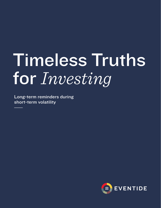# Timeless Truths for *Investing*

Long-term reminders during short-term volatility

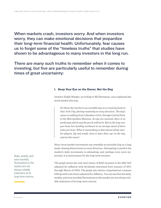When markets crash, investors worry. And when investors worry, they can make emotional decisions that jeopardize their long-term financial health. Unfortunately, fear causes us to forget some of the "timeless truths" that studies have shown to be advantageous to many investors in the long run.

There are many such truths to remember when it comes to investing, but five are particularly useful to remember during times of great uncertainty:

### 1. Keep Your Eye on the Owner, Not the Dog

Investor Ralph Wanger, according to Bill Bernstein, once explained the stock market this way:

*He likens the market to an excitable dog on a very long leash in New York City, darting randomly in every direction. The dog's owner is walking from Columbus Circle, through Central Park, to the Metropolitan Museum. At any one moment, there is no predicting which way the pooch will lurch. But in the long run, you know he's heading northeast at an average speed of three miles per hour. What is astonishing is that almost all the market players, big and small, seem to have their eye on the dog, and not the owner.1*

Short-term market movements can resemble an excitable dog on a long leash, chasing distractions in every direction. Attempting to predict the market's daily movements is exhausting, and, perhaps even more important, it is unnecessary for the long-term investor.

The graph shows the real total return of \$100 invested in the S&P 500 adjusted for inflation with dividends reinvested from January of 1871 through March of 2020. The graph also shows a hypothetical constant 6.6% growth real return adjusted for inflation. You can see that the daily, weekly, and even monthly fluctuations in the market are not always reliable indicators of its long-term returns.

Daily, weekly, and even monthly fluctuations in the market are not always reliable indicators of its long-term returns.

1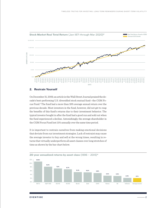

# 2. Restrain Yourself

On December 31, 2009, an article in the Wall Street Journal praised the decade's best-performing U.S. diversified stock mutual fund—the CGM Focus Fund.3 The fund had a more than 18% average annual return over the previous decade. Most investors in the fund, however, did not get to reap the benefits of this fund's returns due to their investment behavior. The typical investor bought in after the fund had a good run and sold out when the fund experienced a decline. Astonishingly, the average shareholder in the CGM Focus Fund lost 11% annually over the same time period.

It is important to restrain ourselves from making emotional decisions that deviate from our investment strategies. Lack of restraint may cause the average investor to buy and sell at the wrong times, resulting in returns that virtually underperform all asset classes over long stretches of time as shown by the bar chart below.

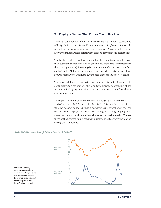### 3. Employ a System That Forces You to Buy Low

The most basic concept of making money in any market is to "buy low and sell high." Of course, this would be a lot easier to implement if we could predict the future with impeccable accuracy, right? We would know exactly when the market is at its lowest point and invest at the perfect time.

The truth is that studies have shown that there is a better way to invest than buying in at that lowest point (even if you were able to predict when that lowest point was). Investing the same amount of money each month (a strategy called "dollar-cost averaging") has shown to have better long-term returns compared to waiting to buy the dips at the absolute perfect times.<sup>5</sup>

The reason dollar-cost averaging works so well is that it forces you to continually gain exposure to the long-term upward momentum of the market while buying more shares when prices are low and less shares as prices increase.

The top graph below shows the return of the S&P 500 from the time period of January 1,2000- December 31, 2009. This time is referred to as "the lost decade" as the S&P had a negative return over the period. The bottom graph displays the dollar cost averaging strategy buying more shares as the market dips and less shares as the market peaks. The returns of the investor implementing this strategy outperform the market during the lost decade.



Dollar cost averaging purchases nearly twice as many shares when prices are low. What's more the return for an investor implementing this strategy would have been +5.9% over the period

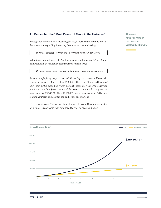# 4. Remember the "Most Powerful Force in the Universe"

Though not known for his investing advice, Albert Einstein made one audacious claim regarding investing that is worth remembering:

*The most powerful force in the universe is compound interest.*

What is compound interest? Another prominent historical figure, Benjamin Franklin, described compound interest this way:

*Money makes money. And money that makes money, makes money.*

As an example, imagine you invested \$3 per day that you would have otherwise spent on coffee, totaling \$1095 for the year. At a growth rate of 6.6%, that \$1095 would be worth \$1167.27 after one year. The next year, you invest another \$1095 on top of the \$1167.27 you made the previous year, totaling \$2,162.27. This \$2,162.27 now grows again at 6.6% rate, leaving you with \$2,411.58 at the end of the second year.

Here is what your \$3/day investment looks like over 40 years, assuming an annual 6.6% growth rate, compared to the uninvested \$3/day.

The most powerful force in the universe is compound interest.

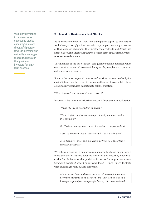We believe investing in businesses as opposed to stocks encourages a more thoughtful posture towards investing and naturally encourages the fruitful behavior that positions investors for longterm success.

### 5. Invest in Businesses, Not Stocks

At its most fundamental, investing is supplying capital to businesses. And when you supply a business with capital you become part owner of that business, sharing in their profits via dividends and growth via appreciation. It is important that we not lose sight of this simple, yet often-overlooked concept.

The meaning of the verb "invest" can quickly become distorted when our attention is diverted to stock ticker symbols, complex charts, or even outcomes we may desire.

Some of the most respected investors of our time have succeeded by focusing intently on the types of companies they want to own. Like these esteemed investors, it is important to ask the question,

"What types of companies do I want to own?"

Inherent in this question are further questions that warrant consideration:

*Would I be proud to own this company?*

*Would I feel comfortable having a family member work at this company?*

*Do I believe in the product or service that this company offers?*

*Does the company create value for each of its stakeholders?*

*Is its business model and management team able to sustain a successful business?*

We believe investing in businesses as opposed to stocks encourages a more thoughtful posture towards investing and naturally encourages the fruitful behavior that positions investors for long-term success. Confident investing, according to Eventide's CIO Finny Kuruvilla, starts with believing in high-quality companies:

*Many people have had the experience of purchasing a stock, becoming nervous as it declined, and then selling out at a loss—perhaps only to see it go right back up. On the other hand,*